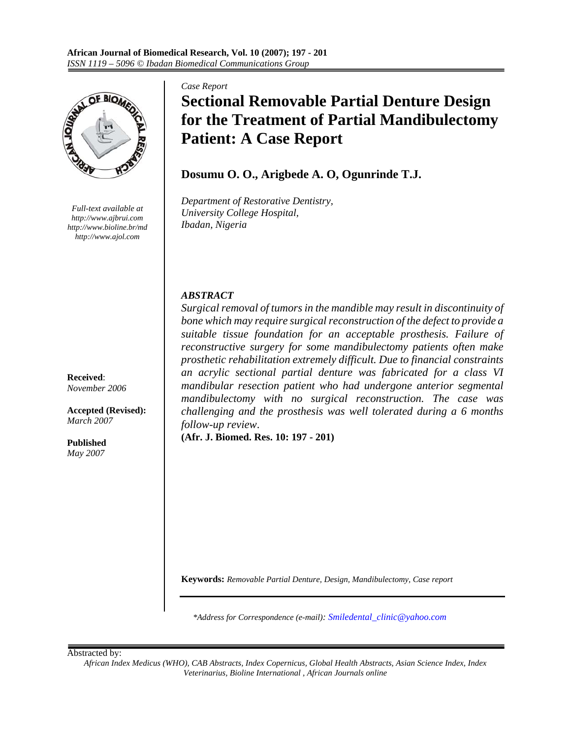

*Full-text available at http://www.ajbrui.com http://www.bioline.br/md http://www.ajol.com*

**Received**: *November 2006* 

**Accepted (Revised):**  *March 2007* 

**Published**  *May 2007* 

#### *Case Report*

# **Sectional Removable Partial Denture Design for the Treatment of Partial Mandibulectomy Patient: A Case Report**

# **Dosumu O. O., Arigbede A. O, Ogunrinde T.J.**

*Department of Restorative Dentistry, University College Hospital, Ibadan, Nigeria* 

# *ABSTRACT*

*Surgical removal of tumors in the mandible may result in discontinuity of bone which may require surgical reconstruction of the defect to provide a suitable tissue foundation for an acceptable prosthesis. Failure of reconstructive surgery for some mandibulectomy patients often make prosthetic rehabilitation extremely difficult. Due to financial constraints an acrylic sectional partial denture was fabricated for a class VI mandibular resection patient who had undergone anterior segmental mandibulectomy with no surgical reconstruction. The case was challenging and the prosthesis was well tolerated during a 6 months follow-up review*.

**(Afr. J. Biomed. Res. 10: 197 - 201)**

**Keywords:** *Removable Partial Denture, Design, Mandibulectomy, Case report*

*\*Address for Correspondence (e-mail): Smiledental\_clinic@yahoo.com*

Abstracted by:

*African Index Medicus (WHO), CAB Abstracts, Index Copernicus, Global Health Abstracts, Asian Science Index, Index Veterinarius, Bioline International , African Journals online*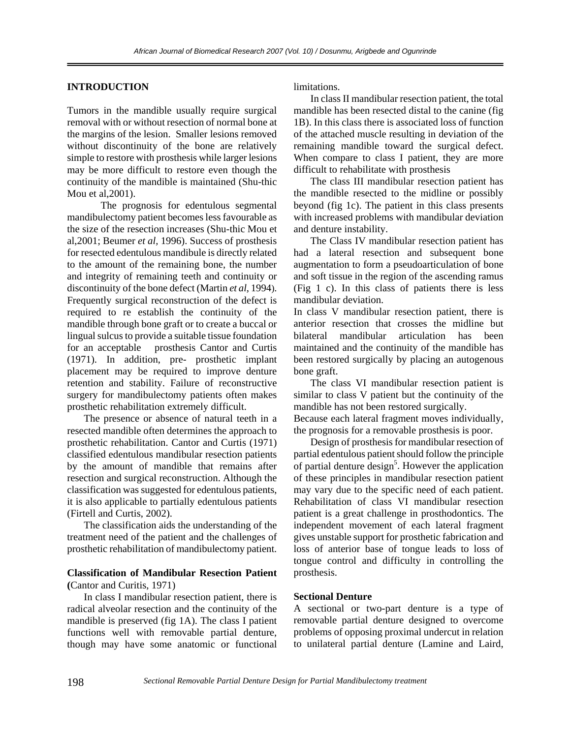## **INTRODUCTION**

Tumors in the mandible usually require surgical removal with or without resection of normal bone at the margins of the lesion. Smaller lesions removed without discontinuity of the bone are relatively simple to restore with prosthesis while larger lesions may be more difficult to restore even though the continuity of the mandible is maintained (Shu-thic Mou et al,2001).

 The prognosis for edentulous segmental mandibulectomy patient becomes less favourable as the size of the resection increases (Shu-thic Mou et al,2001; Beumer *et al,* 1996). Success of prosthesis for resected edentulous mandibule is directly related to the amount of the remaining bone, the number and integrity of remaining teeth and continuity or discontinuity of the bone defect (Martin *et al*, 1994). Frequently surgical reconstruction of the defect is required to re establish the continuity of the mandible through bone graft or to create a buccal or lingual sulcus to provide a suitable tissue foundation for an acceptable prosthesis Cantor and Curtis (1971). In addition, pre- prosthetic implant placement may be required to improve denture retention and stability. Failure of reconstructive surgery for mandibulectomy patients often makes prosthetic rehabilitation extremely difficult.

 The presence or absence of natural teeth in a resected mandible often determines the approach to prosthetic rehabilitation. Cantor and Curtis (1971) classified edentulous mandibular resection patients by the amount of mandible that remains after resection and surgical reconstruction. Although the classification was suggested for edentulous patients, it is also applicable to partially edentulous patients (Firtell and Curtis, 2002).

 The classification aids the understanding of the treatment need of the patient and the challenges of prosthetic rehabilitation of mandibulectomy patient.

### **Classification of Mandibular Resection Patient (**Cantor and Curitis, 1971)

 In class I mandibular resection patient, there is radical alveolar resection and the continuity of the mandible is preserved (fig 1A). The class I patient functions well with removable partial denture, though may have some anatomic or functional

limitations.

 In class II mandibular resection patient, the total mandible has been resected distal to the canine (fig 1B). In this class there is associated loss of function of the attached muscle resulting in deviation of the remaining mandible toward the surgical defect. When compare to class I patient, they are more difficult to rehabilitate with prosthesis

 The class III mandibular resection patient has the mandible resected to the midline or possibly beyond (fig 1c). The patient in this class presents with increased problems with mandibular deviation and denture instability.

 The Class IV mandibular resection patient has had a lateral resection and subsequent bone augmentation to form a pseudoarticulation of bone and soft tissue in the region of the ascending ramus (Fig 1 c). In this class of patients there is less mandibular deviation.

In class V mandibular resection patient, there is anterior resection that crosses the midline but bilateral mandibular articulation has been maintained and the continuity of the mandible has been restored surgically by placing an autogenous bone graft.

 The class VI mandibular resection patient is similar to class V patient but the continuity of the mandible has not been restored surgically.

Because each lateral fragment moves individually, the prognosis for a removable prosthesis is poor.

 Design of prosthesis for mandibular resection of partial edentulous patient should follow the principle of partial denture design<sup>5</sup>. However the application of these principles in mandibular resection patient may vary due to the specific need of each patient. Rehabilitation of class VI mandibular resection patient is a great challenge in prosthodontics. The independent movement of each lateral fragment gives unstable support for prosthetic fabrication and loss of anterior base of tongue leads to loss of tongue control and difficulty in controlling the prosthesis.

### **Sectional Denture**

A sectional or two-part denture is a type of removable partial denture designed to overcome problems of opposing proximal undercut in relation to unilateral partial denture (Lamine and Laird,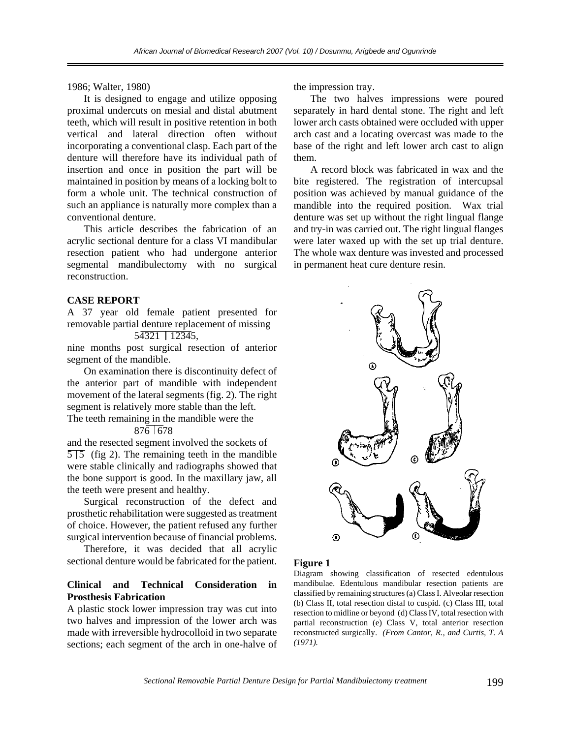1986; Walter, 1980)

 It is designed to engage and utilize opposing proximal undercuts on mesial and distal abutment teeth, which will result in positive retention in both vertical and lateral direction often without incorporating a conventional clasp. Each part of the denture will therefore have its individual path of insertion and once in position the part will be maintained in position by means of a locking bolt to form a whole unit. The technical construction of such an appliance is naturally more complex than a conventional denture.

 This article describes the fabrication of an acrylic sectional denture for a class VI mandibular resection patient who had undergone anterior segmental mandibulectomy with no surgical reconstruction.

# **CASE REPORT**

A 37 year old female patient presented for removable partial denture replacement of missing

# 54321 12345,

nine months post surgical resection of anterior segment of the mandible.

 On examination there is discontinuity defect of the anterior part of mandible with independent movement of the lateral segments (fig. 2). The right segment is relatively more stable than the left.

The teeth remaining in the mandible were the 876 678

and the resected segment involved the sockets of  $\overline{5}\overline{5}$  (fig 2). The remaining teeth in the mandible were stable clinically and radiographs showed that the bone support is good. In the maxillary jaw, all the teeth were present and healthy.

 Surgical reconstruction of the defect and prosthetic rehabilitation were suggested as treatment of choice. However, the patient refused any further surgical intervention because of financial problems.

 Therefore, it was decided that all acrylic sectional denture would be fabricated for the patient.

# **Clinical and Technical Consideration in Prosthesis Fabrication**

A plastic stock lower impression tray was cut into two halves and impression of the lower arch was made with irreversible hydrocolloid in two separate sections; each segment of the arch in one-halve of

the impression tray.

 The two halves impressions were poured separately in hard dental stone. The right and left lower arch casts obtained were occluded with upper arch cast and a locating overcast was made to the base of the right and left lower arch cast to align them.

 A record block was fabricated in wax and the bite registered. The registration of intercupsal position was achieved by manual guidance of the mandible into the required position. Wax trial denture was set up without the right lingual flange and try-in was carried out. The right lingual flanges were later waxed up with the set up trial denture. The whole wax denture was invested and processed in permanent heat cure denture resin.



### **Figure 1**

Diagram showing classification of resected edentulous mandibulae. Edentulous mandibular resection patients are classified by remaining structures (a) Class I. Alveolar resection (b) Class II, total resection distal to cuspid. (c) Class III, total resection to midline or beyond (d) Class IV, total resection with partial reconstruction (e) Class V, total anterior resection reconstructed surgically. *(From Cantor, R., and Curtis, T. A (1971).*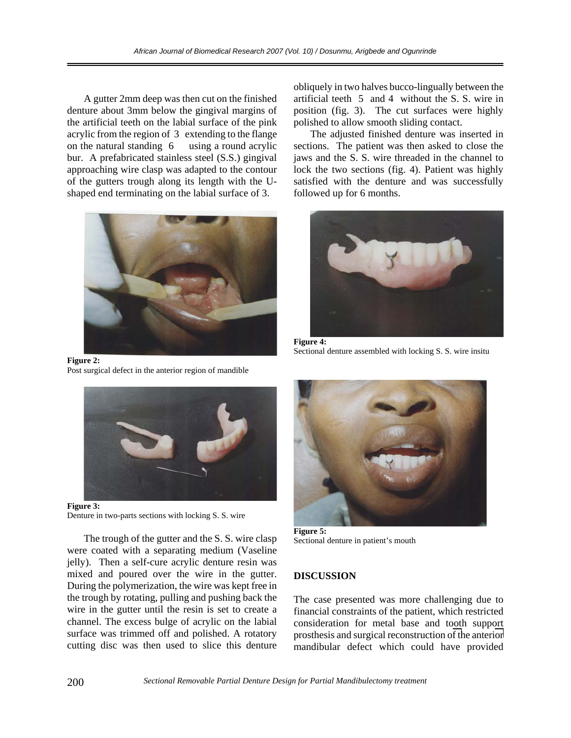A gutter 2mm deep was then cut on the finished denture about 3mm below the gingival margins of the artificial teeth on the labial surface of the pink acrylic from the region of 3 extending to the flange on the natural standing 6 using a round acrylic bur. A prefabricated stainless steel (S.S.) gingival approaching wire clasp was adapted to the contour of the gutters trough along its length with the Ushaped end terminating on the labial surface of 3.



**Figure 2:**  Post surgical defect in the anterior region of mandible



**Figure 3:**  Denture in two-parts sections with locking S. S. wire

The trough of the gutter and the S. S. wire clasp were coated with a separating medium (Vaseline jelly). Then a self-cure acrylic denture resin was mixed and poured over the wire in the gutter. During the polymerization, the wire was kept free in the trough by rotating, pulling and pushing back the wire in the gutter until the resin is set to create a channel. The excess bulge of acrylic on the labial surface was trimmed off and polished. A rotatory cutting disc was then used to slice this denture

obliquely in two halves bucco-lingually between the artificial teeth 5 and 4 without the S. S. wire in position (fig. 3). The cut surfaces were highly polished to allow smooth sliding contact.

 The adjusted finished denture was inserted in sections. The patient was then asked to close the jaws and the S. S. wire threaded in the channel to lock the two sections (fig. 4). Patient was highly satisfied with the denture and was successfully followed up for 6 months.



**Figure 4:**  Sectional denture assembled with locking S. S. wire insitu



**Figure 5:**  Sectional denture in patient's mouth

### **DISCUSSION**

The case presented was more challenging due to financial constraints of the patient, which restricted consideration for metal base and tooth support prosthesis and surgical reconstruction of the anterior mandibular defect which could have provided